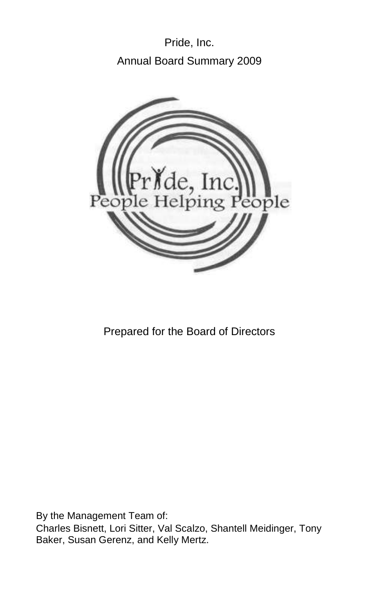Pride, Inc. Annual Board Summary 2009



#### Prepared for the Board of Directors

By the Management Team of: Charles Bisnett, Lori Sitter, Val Scalzo, Shantell Meidinger, Tony Baker, Susan Gerenz, and Kelly Mertz.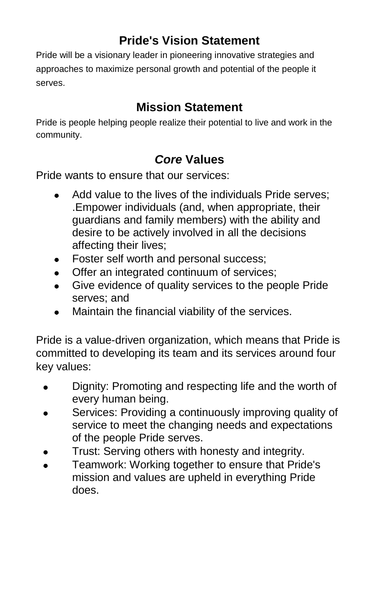## **Pride's Vision Statement**

Pride will be a visionary leader in pioneering innovative strategies and approaches to maximize personal growth and potential of the people it serves.

### **Mission Statement**

Pride is people helping people realize their potential to live and work in the community.

## *Core* **Values**

Pride wants to ensure that our services:

- Add value to the lives of the individuals Pride serves; .Empower individuals (and, when appropriate, their guardians and family members) with the ability and desire to be actively involved in all the decisions affecting their lives;
- Foster self worth and personal success;
- Offer an integrated continuum of services;
- Give evidence of quality services to the people Pride serves; and
- Maintain the financial viability of the services.  $\bullet$

Pride is a value-driven organization, which means that Pride is committed to developing its team and its services around four key values:

- Dignity: Promoting and respecting life and the worth of every human being.
- Services: Providing a continuously improving quality of service to meet the changing needs and expectations of the people Pride serves.
- Trust: Serving others with honesty and integrity.
- Teamwork: Working together to ensure that Pride's  $\bullet$ mission and values are upheld in everything Pride does.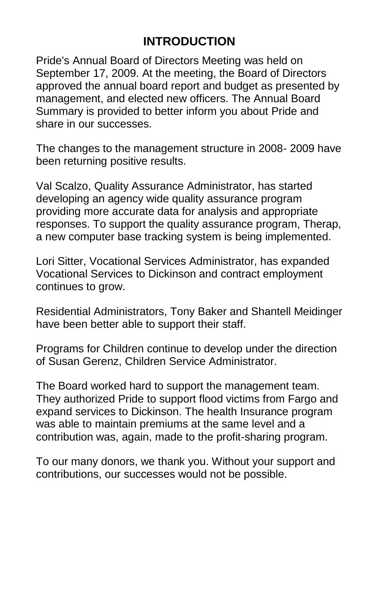## **INTRODUCTION**

Pride's Annual Board of Directors Meeting was held on September 17, 2009. At the meeting, the Board of Directors approved the annual board report and budget as presented by management, and elected new officers. The Annual Board Summary is provided to better inform you about Pride and share in our successes.

The changes to the management structure in 2008- 2009 have been returning positive results.

Val Scalzo, Quality Assurance Administrator, has started developing an agency wide quality assurance program providing more accurate data for analysis and appropriate responses. To support the quality assurance program, Therap, a new computer base tracking system is being implemented.

Lori Sitter, Vocational Services Administrator, has expanded Vocational Services to Dickinson and contract employment continues to grow.

Residential Administrators, Tony Baker and Shantell Meidinger have been better able to support their staff.

Programs for Children continue to develop under the direction of Susan Gerenz, Children Service Administrator.

The Board worked hard to support the management team. They authorized Pride to support flood victims from Fargo and expand services to Dickinson. The health Insurance program was able to maintain premiums at the same level and a contribution was, again, made to the profit-sharing program.

To our many donors, we thank you. Without your support and contributions, our successes would not be possible.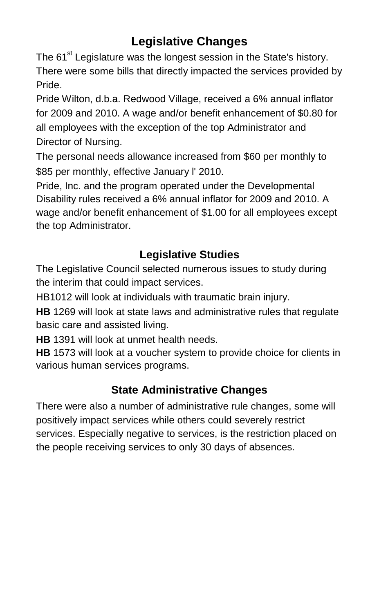# **Legislative Changes**

The 61<sup>st</sup> Legislature was the longest session in the State's history. There were some bills that directly impacted the services provided by Pride.

Pride Wilton, d.b.a. Redwood Village, received a 6% annual inflator for 2009 and 2010. A wage and/or benefit enhancement of \$0.80 for all employees with the exception of the top Administrator and Director of Nursing.

The personal needs allowance increased from \$60 per monthly to \$85 per monthly, effective January l' 2010.

Pride, Inc. and the program operated under the Developmental Disability rules received a 6% annual inflator for 2009 and 2010. A wage and/or benefit enhancement of \$1.00 for all employees except the top Administrator.

## **Legislative Studies**

The Legislative Council selected numerous issues to study during the interim that could impact services.

HB1012 will look at individuals with traumatic brain injury.

**HB** 1269 will look at state laws and administrative rules that regulate basic care and assisted living.

**HB** 1391 will look at unmet health needs.

**HB** 1573 will look at a voucher system to provide choice for clients in various human services programs.

## **State Administrative Changes**

There were also a number of administrative rule changes, some will positively impact services while others could severely restrict services. Especially negative to services, is the restriction placed on the people receiving services to only 30 days of absences.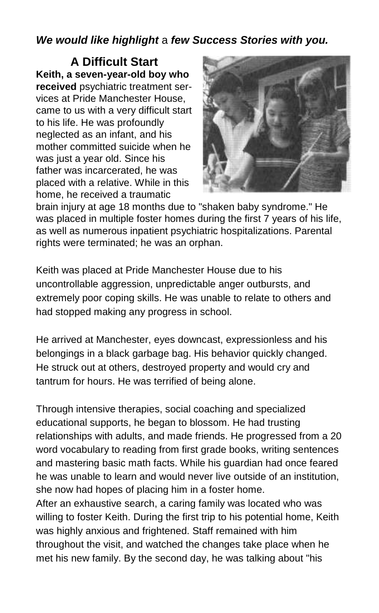*We would like highlight* a *few Success Stories with you.* 

**A Difficult Start Keith, a seven-year-old boy who received** psychiatric treatment services at Pride Manchester House, came to us with a very difficult start to his life. He was profoundly neglected as an infant, and his mother committed suicide when he was just a year old. Since his father was incarcerated, he was placed with a relative. While in this home, he received a traumatic



brain injury at age 18 months due to "shaken baby syndrome." He was placed in multiple foster homes during the first 7 years of his life, as well as numerous inpatient psychiatric hospitalizations. Parental rights were terminated; he was an orphan.

Keith was placed at Pride Manchester House due to his uncontrollable aggression, unpredictable anger outbursts, and extremely poor coping skills. He was unable to relate to others and had stopped making any progress in school.

He arrived at Manchester, eyes downcast, expressionless and his belongings in a black garbage bag. His behavior quickly changed. He struck out at others, destroyed property and would cry and tantrum for hours. He was terrified of being alone.

Through intensive therapies, social coaching and specialized educational supports, he began to blossom. He had trusting relationships with adults, and made friends. He progressed from a 20 word vocabulary to reading from first grade books, writing sentences and mastering basic math facts. While his guardian had once feared he was unable to learn and would never live outside of an institution, she now had hopes of placing him in a foster home.

After an exhaustive search, a caring family was located who was willing to foster Keith. During the first trip to his potential home, Keith was highly anxious and frightened. Staff remained with him throughout the visit, and watched the changes take place when he met his new family. By the second day, he was talking about "his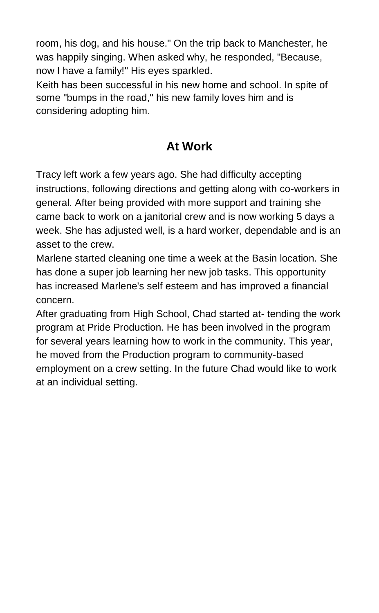room, his dog, and his house." On the trip back to Manchester, he was happily singing. When asked why, he responded, "Because, now I have a family!" His eyes sparkled.

Keith has been successful in his new home and school. In spite of some "bumps in the road," his new family loves him and is considering adopting him.

## **At Work**

Tracy left work a few years ago. She had difficulty accepting instructions, following directions and getting along with co-workers in general. After being provided with more support and training she came back to work on a janitorial crew and is now working 5 days a week. She has adjusted well, is a hard worker, dependable and is an asset to the crew.

Marlene started cleaning one time a week at the Basin location. She has done a super job learning her new job tasks. This opportunity has increased Marlene's self esteem and has improved a financial concern.

After graduating from High School, Chad started at- tending the work program at Pride Production. He has been involved in the program for several years learning how to work in the community. This year, he moved from the Production program to community-based employment on a crew setting. In the future Chad would like to work at an individual setting.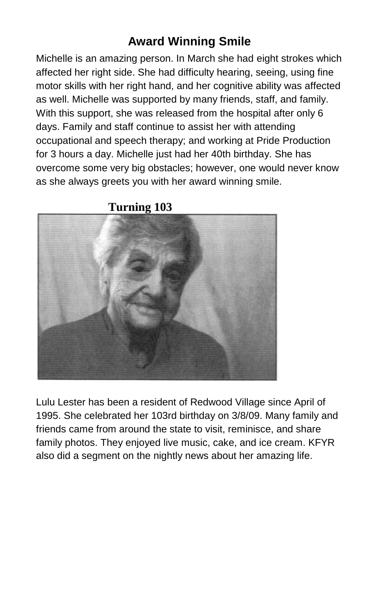## **Award Winning Smile**

Michelle is an amazing person. In March she had eight strokes which affected her right side. She had difficulty hearing, seeing, using fine motor skills with her right hand, and her cognitive ability was affected as well. Michelle was supported by many friends, staff, and family. With this support, she was released from the hospital after only 6 days. Family and staff continue to assist her with attending occupational and speech therapy; and working at Pride Production for 3 hours a day. Michelle just had her 40th birthday. She has overcome some very big obstacles; however, one would never know as she always greets you with her award winning smile.

**Turning 103**



Lulu Lester has been a resident of Redwood Village since April of 1995. She celebrated her 103rd birthday on 3/8/09. Many family and friends came from around the state to visit, reminisce, and share family photos. They enjoyed live music, cake, and ice cream. KFYR also did a segment on the nightly news about her amazing life.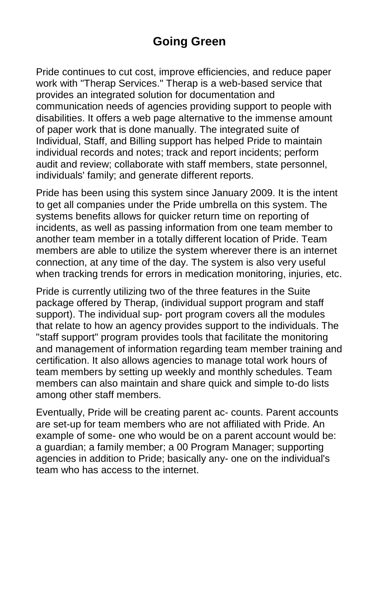Pride continues to cut cost, improve efficiencies, and reduce paper work with "Therap Services." Therap is a web-based service that provides an integrated solution for documentation and communication needs of agencies providing support to people with disabilities. It offers a web page alternative to the immense amount of paper work that is done manually. The integrated suite of Individual, Staff, and Billing support has helped Pride to maintain individual records and notes; track and report incidents; perform audit and review; collaborate with staff members, state personnel, individuals' family; and generate different reports.

Pride has been using this system since January 2009. It is the intent to get all companies under the Pride umbrella on this system. The systems benefits allows for quicker return time on reporting of incidents, as well as passing information from one team member to another team member in a totally different location of Pride. Team members are able to utilize the system wherever there is an internet connection, at any time of the day. The system is also very useful when tracking trends for errors in medication monitoring, injuries, etc.

Pride is currently utilizing two of the three features in the Suite package offered by Therap, (individual support program and staff support). The individual sup- port program covers all the modules that relate to how an agency provides support to the individuals. The "staff support" program provides tools that facilitate the monitoring and management of information regarding team member training and certification. It also allows agencies to manage total work hours of team members by setting up weekly and monthly schedules. Team members can also maintain and share quick and simple to-do lists among other staff members.

Eventually, Pride will be creating parent ac- counts. Parent accounts are set-up for team members who are not affiliated with Pride. An example of some- one who would be on a parent account would be: a guardian; a family member; a 00 Program Manager; supporting agencies in addition to Pride; basically any- one on the individual's team who has access to the internet.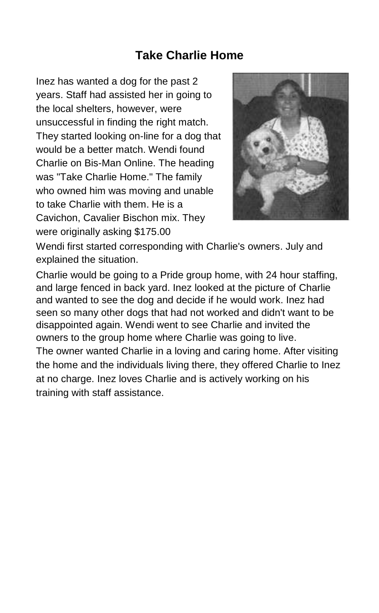### **Take Charlie Home**

Inez has wanted a dog for the past 2 years. Staff had assisted her in going to the local shelters, however, were unsuccessful in finding the right match. They started looking on-line for a dog that would be a better match. Wendi found Charlie on Bis-Man Online. The heading was "Take Charlie Home." The family who owned him was moving and unable to take Charlie with them. He is a Cavichon, Cavalier Bischon mix. They were originally asking \$175.00



Wendi first started corresponding with Charlie's owners. July and explained the situation.

Charlie would be going to a Pride group home, with 24 hour staffing, and large fenced in back yard. Inez looked at the picture of Charlie and wanted to see the dog and decide if he would work. Inez had seen so many other dogs that had not worked and didn't want to be disappointed again. Wendi went to see Charlie and invited the owners to the group home where Charlie was going to live. The owner wanted Charlie in a loving and caring home. After visiting the home and the individuals living there, they offered Charlie to Inez at no charge. Inez loves Charlie and is actively working on his training with staff assistance.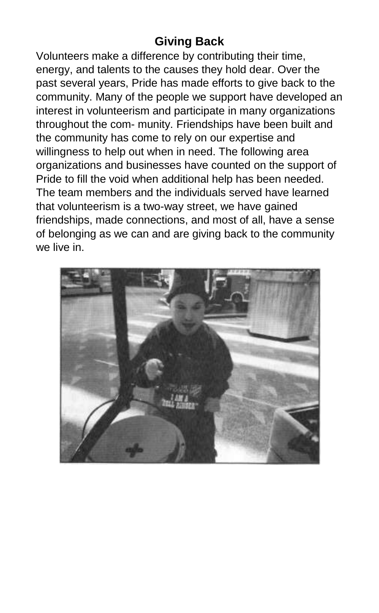# **Giving Back**

Volunteers make a difference by contributing their time, energy, and talents to the causes they hold dear. Over the past several years, Pride has made efforts to give back to the community. Many of the people we support have developed an interest in volunteerism and participate in many organizations throughout the com- munity. Friendships have been built and the community has come to rely on our expertise and willingness to help out when in need. The following area organizations and businesses have counted on the support of Pride to fill the void when additional help has been needed. The team members and the individuals served have learned that volunteerism is a two-way street, we have gained friendships, made connections, and most of all, have a sense of belonging as we can and are giving back to the community we live in.

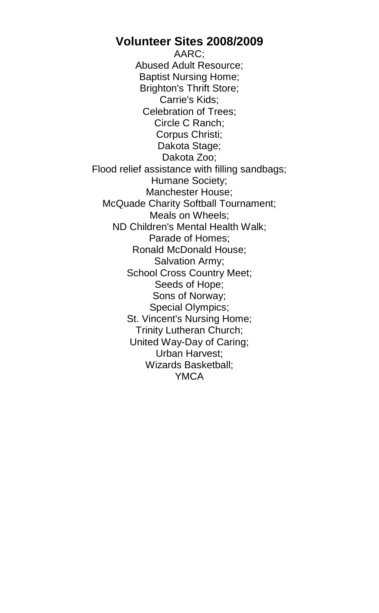#### **Volunteer Sites 2008/2009**

AARC; Abused Adult Resource; Baptist Nursing Home; Brighton's Thrift Store; Carrie's Kids; Celebration of Trees; Circle C Ranch; Corpus Christi; Dakota Stage: Dakota Zoo; Flood relief assistance with filling sandbags; Humane Society; Manchester House; McQuade Charity Softball Tournament; Meals on Wheels; ND Children's Mental Health Walk; Parade of Homes; Ronald McDonald House; Salvation Army; School Cross Country Meet; Seeds of Hope; Sons of Norway; Special Olympics; St. Vincent's Nursing Home; Trinity Lutheran Church; United Way-Day of Caring; Urban Harvest; Wizards Basketball; YMCA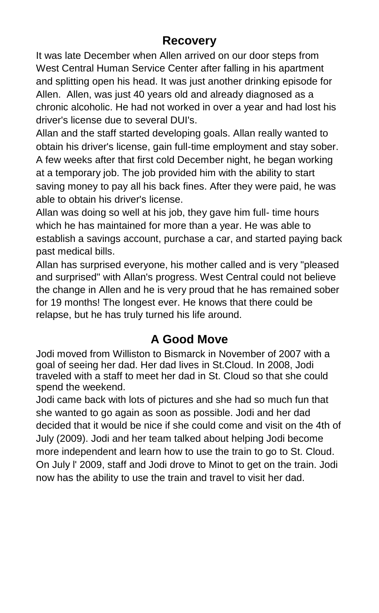## **Recovery**

It was late December when Allen arrived on our door steps from West Central Human Service Center after falling in his apartment and splitting open his head. It was just another drinking episode for Allen. Allen, was just 40 years old and already diagnosed as a chronic alcoholic. He had not worked in over a year and had lost his driver's license due to several DUI's.

Allan and the staff started developing goals. Allan really wanted to obtain his driver's license, gain full-time employment and stay sober. A few weeks after that first cold December night, he began working at a temporary job. The job provided him with the ability to start saving money to pay all his back fines. After they were paid, he was able to obtain his driver's license.

Allan was doing so well at his job, they gave him full- time hours which he has maintained for more than a year. He was able to establish a savings account, purchase a car, and started paying back past medical bills.

Allan has surprised everyone, his mother called and is very "pleased and surprised" with Allan's progress. West Central could not believe the change in Allen and he is very proud that he has remained sober for 19 months! The longest ever. He knows that there could be relapse, but he has truly turned his life around.

## **A Good Move**

Jodi moved from Williston to Bismarck in November of 2007 with a goal of seeing her dad. Her dad lives in St.Cloud. In 2008, Jodi traveled with a staff to meet her dad in St. Cloud so that she could spend the weekend.

Jodi came back with lots of pictures and she had so much fun that she wanted to go again as soon as possible. Jodi and her dad decided that it would be nice if she could come and visit on the 4th of July (2009). Jodi and her team talked about helping Jodi become more independent and learn how to use the train to go to St. Cloud. On July l' 2009, staff and Jodi drove to Minot to get on the train. Jodi now has the ability to use the train and travel to visit her dad.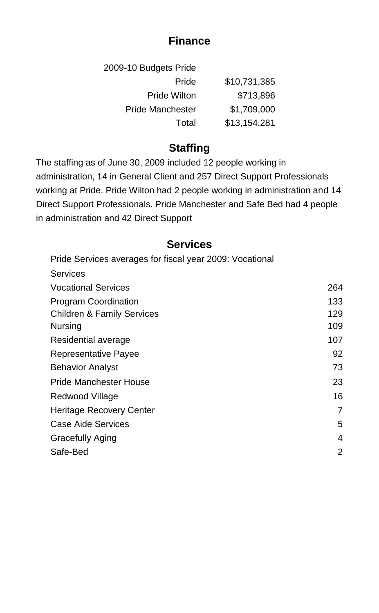#### **Finance**

| 2009-10 Budgets Pride   |              |
|-------------------------|--------------|
| Pride                   | \$10,731,385 |
| Pride Wilton            | \$713,896    |
| <b>Pride Manchester</b> | \$1.709.000  |
| Total                   | \$13,154,281 |

#### **Staffing**

The staffing as of June 30, 2009 included 12 people working in administration, 14 in General Client and 257 Direct Support Professionals working at Pride. Pride Wilton had 2 people working in administration and 14 Direct Support Professionals. Pride Manchester and Safe Bed had 4 people in administration and 42 Direct Support

#### **Services**

Pride Services averages for fiscal year 2009: Vocational

Services

| <b>Vocational Services</b>            | 264 |
|---------------------------------------|-----|
| Program Coordination                  | 133 |
| <b>Children &amp; Family Services</b> | 129 |
| Nursing                               | 109 |
| Residential average                   | 107 |
| Representative Payee                  | 92  |
| <b>Behavior Analyst</b>               | 73  |
| Pride Manchester House                | 23  |
| Redwood Village                       | 16  |
| Heritage Recovery Center              | 7   |
| Case Aide Services                    | 5   |
| <b>Gracefully Aging</b>               | 4   |
| Safe-Bed                              | 2   |
|                                       |     |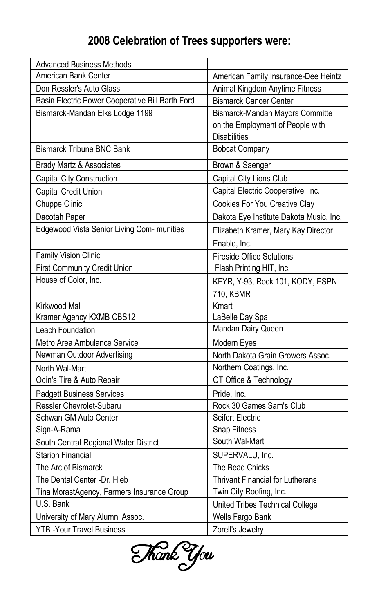# **2008 Celebration of Trees supporters were:**

| <b>Advanced Business Methods</b>                 |                                         |
|--------------------------------------------------|-----------------------------------------|
| American Bank Center                             | American Family Insurance-Dee Heintz    |
| Don Ressler's Auto Glass                         | Animal Kingdom Anytime Fitness          |
| Basin Electric Power Cooperative Bill Barth Ford | <b>Bismarck Cancer Center</b>           |
| Bismarck-Mandan Elks Lodge 1199                  | Bismarck-Mandan Mayors Committe         |
|                                                  | on the Employment of People with        |
|                                                  | <b>Disabilities</b>                     |
| <b>Bismarck Tribune BNC Bank</b>                 | <b>Bobcat Company</b>                   |
| <b>Brady Martz &amp; Associates</b>              | Brown & Saenger                         |
| Capital City Construction                        | Capital City Lions Club                 |
| Capital Credit Union                             | Capital Electric Cooperative, Inc.      |
| Chuppe Clinic                                    | Cookies For You Creative Clay           |
| Dacotah Paper                                    | Dakota Eye Institute Dakota Music, Inc. |
| Edgewood Vista Senior Living Com- munities       | Elizabeth Kramer, Mary Kay Director     |
|                                                  | Enable, Inc.                            |
| Family Vision Clinic                             | <b>Fireside Office Solutions</b>        |
| <b>First Community Credit Union</b>              | Flash Printing HIT, Inc.                |
| House of Color, Inc.                             | KFYR, Y-93, Rock 101, KODY, ESPN        |
|                                                  | 710, KBMR                               |
| Kirkwood Mall                                    | Kmart                                   |
| Kramer Agency KXMB CBS12                         | LaBelle Day Spa                         |
| Leach Foundation                                 | Mandan Dairy Queen                      |
| Metro Area Ambulance Service                     | Modern Eyes                             |
| Newman Outdoor Advertising                       | North Dakota Grain Growers Assoc.       |
| North Wal-Mart                                   | Northern Coatings, Inc.                 |
| Odin's Tire & Auto Repair                        | OT Office & Technology                  |
| <b>Padgett Business Services</b>                 | Pride, Inc.                             |
| Ressler Chevrolet-Subaru                         | Rock 30 Games Sam's Club                |
| Schwan GM Auto Center                            | Seifert Electric                        |
| Sign-A-Rama                                      | Snap Fitness                            |
| South Central Regional Water District            | South Wal-Mart                          |
| <b>Starion Financial</b>                         | SUPERVALU, Inc.                         |
| The Arc of Bismarck                              | The Bead Chicks                         |
| The Dental Center -Dr. Hieb                      | <b>Thrivant Financial for Lutherans</b> |
| Tina MorastAgency, Farmers Insurance Group       | Twin City Roofing, Inc.                 |
| U.S. Bank                                        | United Tribes Technical College         |
| University of Mary Alumni Assoc.                 | Wells Fargo Bank                        |
| <b>YTB - Your Travel Business</b>                | Zorell's Jewelry                        |